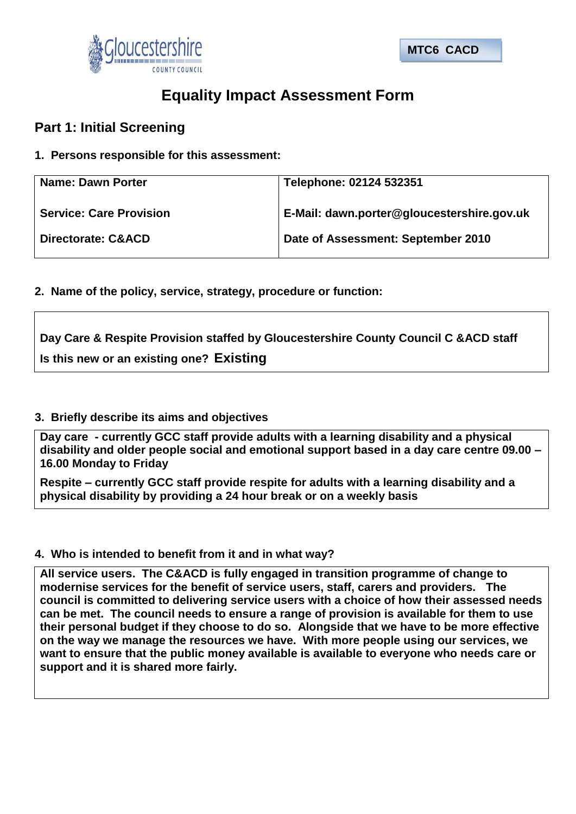



# **Equality Impact Assessment Form**

# **Part 1: Initial Screening**

## **1. Persons responsible for this assessment:**

| <b>Name: Dawn Porter</b>       | Telephone: 02124 532351                    |
|--------------------------------|--------------------------------------------|
| <b>Service: Care Provision</b> | E-Mail: dawn.porter@gloucestershire.gov.uk |
| <b>Directorate: C&amp;ACD</b>  | Date of Assessment: September 2010         |

**2. Name of the policy, service, strategy, procedure or function:**

# **Day Care & Respite Provision staffed by Gloucestershire County Council C &ACD staff Is this new or an existing one? Existing**

### **3. Briefly describe its aims and objectives**

**Day care - currently GCC staff provide adults with a learning disability and a physical disability and older people social and emotional support based in a day care centre 09.00 – 16.00 Monday to Friday**

**Respite – currently GCC staff provide respite for adults with a learning disability and a physical disability by providing a 24 hour break or on a weekly basis**

### **4. Who is intended to benefit from it and in what way?**

**All service users. The C&ACD is fully engaged in transition programme of change to modernise services for the benefit of service users, staff, carers and providers. The council is committed to delivering service users with a choice of how their assessed needs can be met. The council needs to ensure a range of provision is available for them to use their personal budget if they choose to do so. Alongside that we have to be more effective on the way we manage the resources we have. With more people using our services, we want to ensure that the public money available is available to everyone who needs care or support and it is shared more fairly.**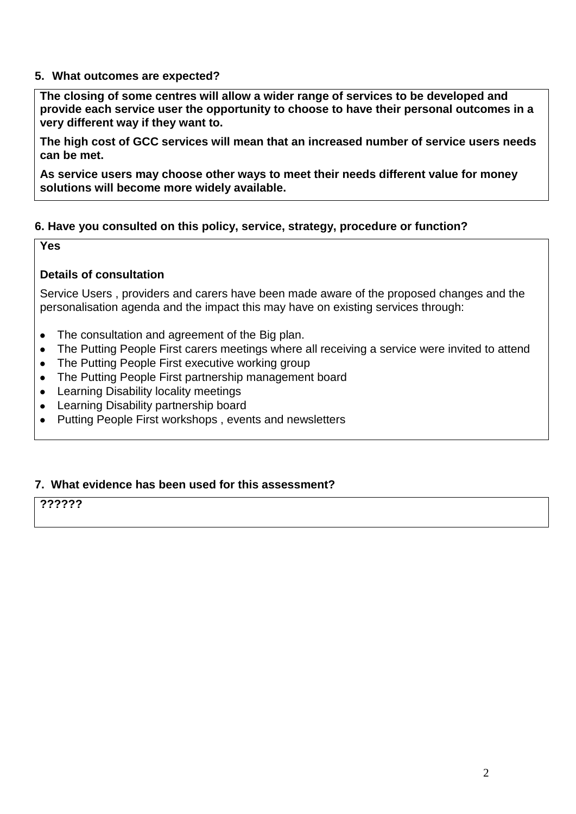### **5. What outcomes are expected?**

**The closing of some centres will allow a wider range of services to be developed and provide each service user the opportunity to choose to have their personal outcomes in a very different way if they want to.** 

**The high cost of GCC services will mean that an increased number of service users needs can be met.** 

**As service users may choose other ways to meet their needs different value for money solutions will become more widely available.** 

### **6. Have you consulted on this policy, service, strategy, procedure or function?**

**Yes**

#### **Details of consultation**

Service Users , providers and carers have been made aware of the proposed changes and the personalisation agenda and the impact this may have on existing services through:

- The consultation and agreement of the Big plan.  $\bullet$
- The Putting People First carers meetings where all receiving a service were invited to attend  $\bullet$
- The Putting People First executive working group  $\bullet$
- The Putting People First partnership management board  $\bullet$
- Learning Disability locality meetings
- Learning Disability partnership board  $\bullet$
- Putting People First workshops , events and newsletters  $\bullet$

#### **7. What evidence has been used for this assessment?**

**??????**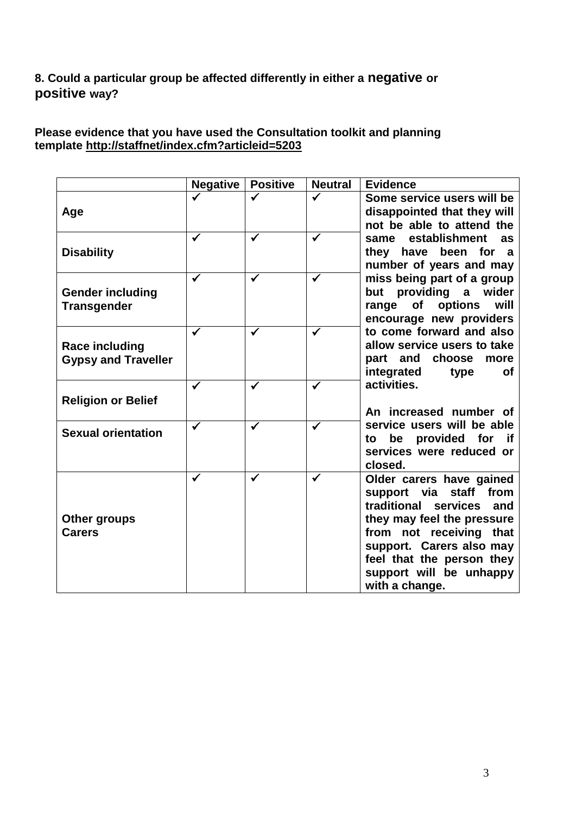# **8. Could a particular group be affected differently in either a negative or positive way?**

## **Please evidence that you have used the Consultation toolkit and planning template<http://staffnet/index.cfm?articleid=5203>**

|                                                     | <b>Negative</b> | <b>Positive</b> | <b>Neutral</b> | <b>Evidence</b>                                                                                                                                                                                                                                        |  |  |
|-----------------------------------------------------|-----------------|-----------------|----------------|--------------------------------------------------------------------------------------------------------------------------------------------------------------------------------------------------------------------------------------------------------|--|--|
| Age                                                 |                 |                 | ✔              | Some service users will be<br>disappointed that they will<br>not be able to attend the                                                                                                                                                                 |  |  |
| <b>Disability</b>                                   | ✔               | ✔               | $\checkmark$   | establishment<br>as<br>same<br>have been for a<br>they<br>number of years and may                                                                                                                                                                      |  |  |
| <b>Gender including</b><br><b>Transgender</b>       | ✓               | $\checkmark$    | $\checkmark$   | miss being part of a group<br>but providing a<br>wider<br>of<br>options<br>range<br>will<br>encourage new providers                                                                                                                                    |  |  |
| <b>Race including</b><br><b>Gypsy and Traveller</b> | ✓               | ✓               | ✔              | to come forward and also<br>allow service users to take<br>part and choose<br>more<br>integrated<br>type<br><b>of</b>                                                                                                                                  |  |  |
| <b>Religion or Belief</b>                           | ✔               |                 | $\checkmark$   | activities.<br>An increased number of                                                                                                                                                                                                                  |  |  |
| <b>Sexual orientation</b>                           | ✔               |                 | ✔              | service users will be able<br>be provided for if<br>to<br>services were reduced or<br>closed.                                                                                                                                                          |  |  |
| Other groups<br><b>Carers</b>                       | ✓               | $\checkmark$    | ✓              | Older carers have gained<br>support via staff<br>from<br>traditional services<br>and<br>they may feel the pressure<br>from not receiving<br>that<br>support. Carers also may<br>feel that the person they<br>support will be unhappy<br>with a change. |  |  |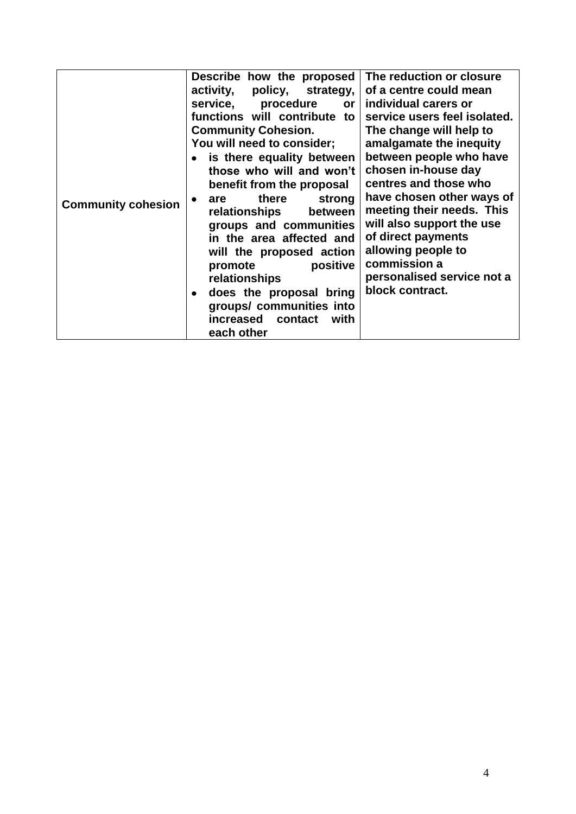|                           | Describe how the proposed                | The reduction or closure     |  |  |
|---------------------------|------------------------------------------|------------------------------|--|--|
|                           |                                          |                              |  |  |
| <b>Community cohesion</b> | activity,<br>policy, strategy,           | of a centre could mean       |  |  |
|                           | service,<br>procedure<br>or <sub>1</sub> | individual carers or         |  |  |
|                           | functions will contribute to             | service users feel isolated. |  |  |
|                           | <b>Community Cohesion.</b>               | The change will help to      |  |  |
|                           | You will need to consider;               | amalgamate the inequity      |  |  |
|                           | is there equality between                | between people who have      |  |  |
|                           | those who will and won't                 | chosen in-house day          |  |  |
|                           | benefit from the proposal                | centres and those who        |  |  |
|                           | there<br>strong<br>are<br>٠              | have chosen other ways of    |  |  |
|                           | relationships<br>between                 | meeting their needs. This    |  |  |
|                           | groups and communities                   | will also support the use    |  |  |
|                           | in the area affected and                 | of direct payments           |  |  |
|                           |                                          | allowing people to           |  |  |
|                           | will the proposed action                 | commission a                 |  |  |
|                           | positive<br>promote                      |                              |  |  |
|                           | relationships                            | personalised service not a   |  |  |
|                           | does the proposal bring                  | block contract.              |  |  |
|                           | groups/ communities into                 |                              |  |  |
|                           | increased contact<br>with                |                              |  |  |
|                           | each other                               |                              |  |  |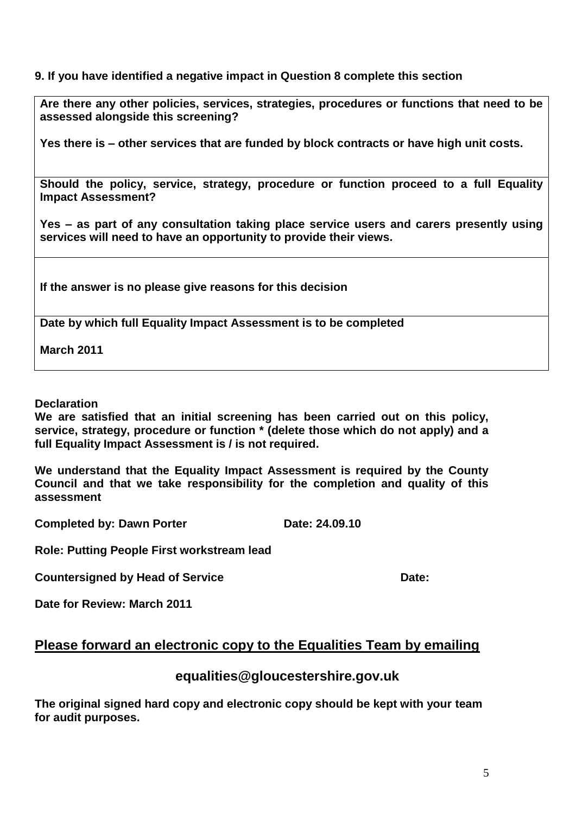## **9. If you have identified a negative impact in Question 8 complete this section**

**Are there any other policies, services, strategies, procedures or functions that need to be assessed alongside this screening?**

**Yes there is – other services that are funded by block contracts or have high unit costs.** 

**Should the policy, service, strategy, procedure or function proceed to a full Equality Impact Assessment?** 

**Yes – as part of any consultation taking place service users and carers presently using services will need to have an opportunity to provide their views.** 

**If the answer is no please give reasons for this decision**

**Date by which full Equality Impact Assessment is to be completed**

**March 2011**

**Declaration**

**We are satisfied that an initial screening has been carried out on this policy, service, strategy, procedure or function \* (delete those which do not apply) and a full Equality Impact Assessment is / is not required.**

**We understand that the Equality Impact Assessment is required by the County Council and that we take responsibility for the completion and quality of this assessment** 

**Completed by: Dawn Porter Date: 24.09.10** 

**Role: Putting People First workstream lead**

**Countersigned by Head of Service <b>Date:** Date:

**Date for Review: March 2011**

# **Please forward an electronic copy to the Equalities Team by emailing**

## **equalities@gloucestershire.gov.uk**

**The original signed hard copy and electronic copy should be kept with your team for audit purposes.**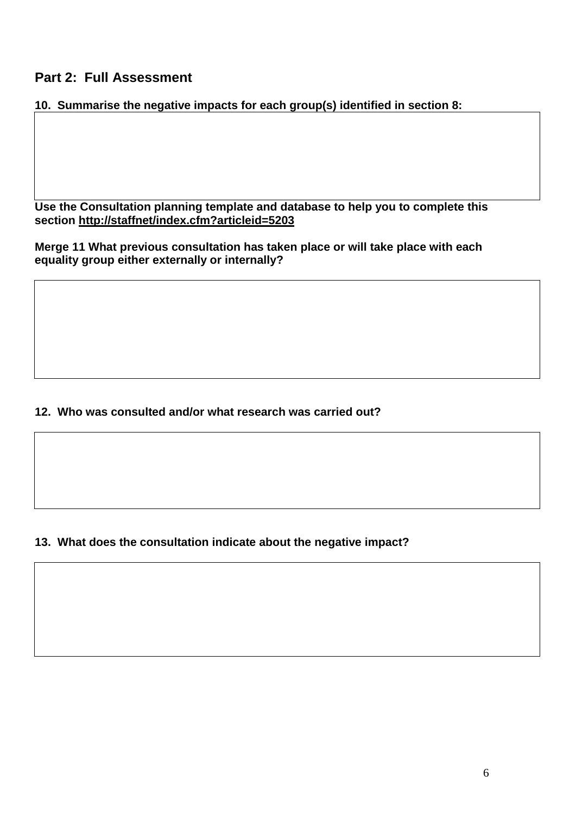# **Part 2: Full Assessment**

## **10. Summarise the negative impacts for each group(s) identified in section 8:**

**Use the Consultation planning template and database to help you to complete this section<http://staffnet/index.cfm?articleid=5203>**

**Merge 11 What previous consultation has taken place or will take place with each equality group either externally or internally?**

## **12. Who was consulted and/or what research was carried out?**

# **13. What does the consultation indicate about the negative impact?**